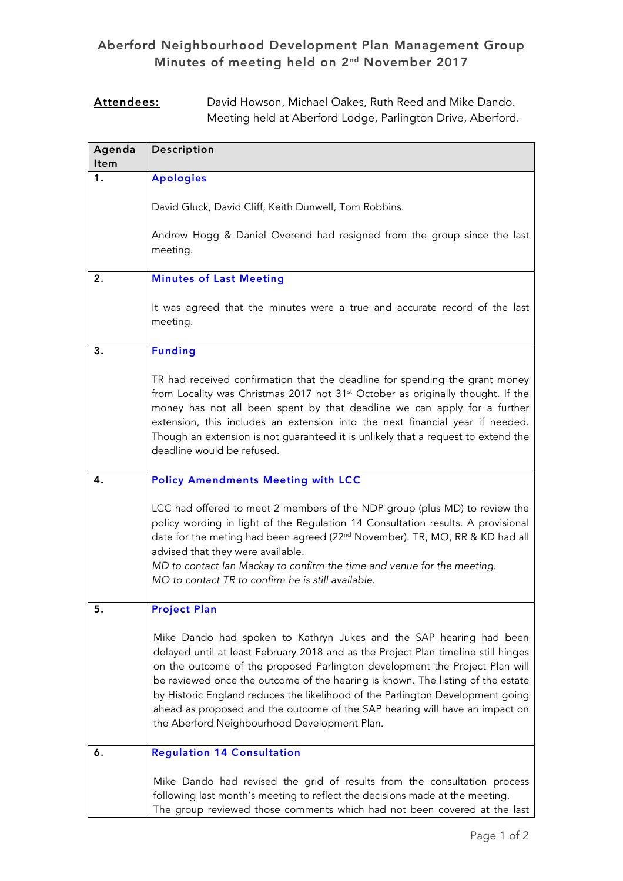## Aberford Neighbourhood Development Plan Management Group Minutes of meeting held on 2nd November 2017

## Attendees: David Howson, Michael Oakes, Ruth Reed and Mike Dando. Meeting held at Aberford Lodge, Parlington Drive, Aberford.

| Agenda<br><b>Item</b> | Description                                                                                                                                                                                                                                                                                                                                                                                                                                                                                                                                  |
|-----------------------|----------------------------------------------------------------------------------------------------------------------------------------------------------------------------------------------------------------------------------------------------------------------------------------------------------------------------------------------------------------------------------------------------------------------------------------------------------------------------------------------------------------------------------------------|
| 1.                    | <b>Apologies</b>                                                                                                                                                                                                                                                                                                                                                                                                                                                                                                                             |
|                       | David Gluck, David Cliff, Keith Dunwell, Tom Robbins.                                                                                                                                                                                                                                                                                                                                                                                                                                                                                        |
|                       | Andrew Hogg & Daniel Overend had resigned from the group since the last<br>meeting.                                                                                                                                                                                                                                                                                                                                                                                                                                                          |
| 2.                    | <b>Minutes of Last Meeting</b>                                                                                                                                                                                                                                                                                                                                                                                                                                                                                                               |
|                       | It was agreed that the minutes were a true and accurate record of the last<br>meeting.                                                                                                                                                                                                                                                                                                                                                                                                                                                       |
| 3.                    | <b>Funding</b>                                                                                                                                                                                                                                                                                                                                                                                                                                                                                                                               |
|                       | TR had received confirmation that the deadline for spending the grant money<br>from Locality was Christmas 2017 not 31 <sup>st</sup> October as originally thought. If the<br>money has not all been spent by that deadline we can apply for a further<br>extension, this includes an extension into the next financial year if needed.<br>Though an extension is not guaranteed it is unlikely that a request to extend the<br>deadline would be refused.                                                                                   |
| 4.                    | <b>Policy Amendments Meeting with LCC</b>                                                                                                                                                                                                                                                                                                                                                                                                                                                                                                    |
|                       | LCC had offered to meet 2 members of the NDP group (plus MD) to review the<br>policy wording in light of the Regulation 14 Consultation results. A provisional<br>date for the meting had been agreed (22 <sup>nd</sup> November). TR, MO, RR & KD had all<br>advised that they were available.<br>MD to contact lan Mackay to confirm the time and venue for the meeting.<br>MO to contact TR to confirm he is still available.                                                                                                             |
| 5.                    | <b>Project Plan</b>                                                                                                                                                                                                                                                                                                                                                                                                                                                                                                                          |
|                       | Mike Dando had spoken to Kathryn Jukes and the SAP hearing had been<br>delayed until at least February 2018 and as the Project Plan timeline still hinges<br>on the outcome of the proposed Parlington development the Project Plan will<br>be reviewed once the outcome of the hearing is known. The listing of the estate<br>by Historic England reduces the likelihood of the Parlington Development going<br>ahead as proposed and the outcome of the SAP hearing will have an impact on<br>the Aberford Neighbourhood Development Plan. |
| 6.                    | <b>Regulation 14 Consultation</b>                                                                                                                                                                                                                                                                                                                                                                                                                                                                                                            |
|                       | Mike Dando had revised the grid of results from the consultation process<br>following last month's meeting to reflect the decisions made at the meeting.<br>The group reviewed those comments which had not been covered at the last                                                                                                                                                                                                                                                                                                         |